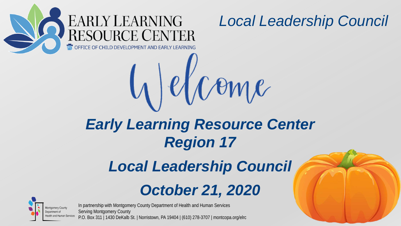

# *Early Learning Resource Center Region 17*

 $\ell$  Come

#### *Local Leadership Council*

# *October 21, 2020*



In partnership with Montgomery County Department of Health and Human Services

Serving Montgomery County P.O. Box 311 | 1430 DeKalb St. | Norristown, PA 19404 | (610) 278-3707 | montcopa.org/elrc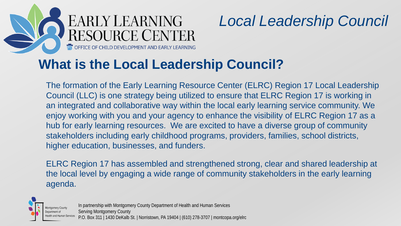

#### **What is the Local Leadership Council?**

The formation of the Early Learning Resource Center (ELRC) Region 17 Local Leadership Council (LLC) is one strategy being utilized to ensure that ELRC Region 17 is working in an integrated and collaborative way within the local early learning service community. We enjoy working with you and your agency to enhance the visibility of ELRC Region 17 as a hub for early learning resources. We are excited to have a diverse group of community stakeholders including early childhood programs, providers, families, school districts, higher education, businesses, and funders.

ELRC Region 17 has assembled and strengthened strong, clear and shared leadership at the local level by engaging a wide range of community stakeholders in the early learning agenda.



In partnership with Montgomery County Department of Health and Human Services Serving Montgomery County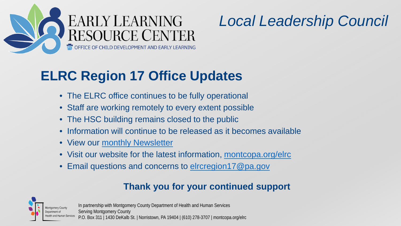

#### **ELRC Region 17 Office Updates**

- The ELRC office continues to be fully operational
- Staff are working remotely to every extent possible
- The HSC building remains closed to the public
- Information will continue to be released as it becomes available
- View our [monthly Newsletter](https://www.montcopa.org/DocumentCenter/View/24001/ELRC-Newsletter)
- Visit our website for the latest information, [montcopa.org/elrc](https://www.montcopa.org/elrc)
- Email questions and concerns to [elrcregion17@pa.gov](mailto:elrcregion17@pa.gov)

#### **Thank you for your continued support**



In partnership with Montgomery County Department of Health and Human Services Serving Montgomery County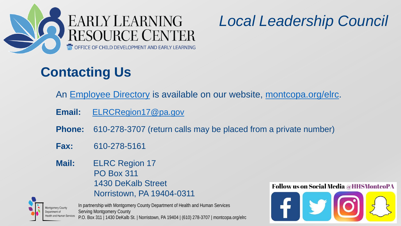

# **Contacting Us**

An [Employee Directory](https://www.montcopa.org/3171/Employee-Directory) is available on our website, [montcopa.org/elrc.](https://www.montcopa.org/elrc)

- **Email:** [ELRCRegion17@pa.gov](mailto:ELRCRegion17@pa.gov)
- **Phone:** 610-278-3707 (return calls may be placed from a private number)
- **Fax:** 610-278-5161
- **Mail:** ELRC Region 17 PO Box 311 1430 DeKalb Street Norristown, PA 19404-0311



In partnership with Montgomery County Department of Health and Human Services Serving Montgomery County P.O. Box 311 | 1430 DeKalb St. | Norristown, PA 19404 | (610) 278-3707 | montcopa.org/elrc

#### **Follow us on Social Media @HHSMontcoPA**

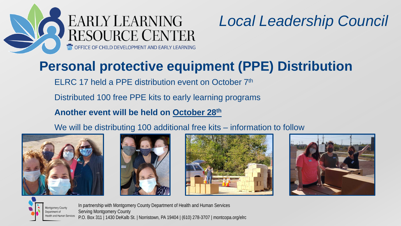

#### **Personal protective equipment (PPE) Distribution**

ELRC 17 held a PPE distribution event on October 7<sup>th</sup>

Distributed 100 free PPE kits to early learning programs

**Another event will be held on October 28th**

We will be distributing 100 additional free kits – information to follow











In partnership with Montgomery County Department of Health and Human Services Serving Montgomery County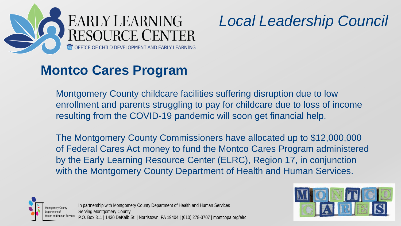

#### **Montco Cares Program**

Montgomery County childcare facilities suffering disruption due to low enrollment and parents struggling to pay for childcare due to loss of income resulting from the COVID-19 pandemic will soon get financial help.

The Montgomery County Commissioners have allocated up to \$12,000,000 of Federal Cares Act money to fund the Montco Cares Program administered by the Early Learning Resource Center (ELRC), Region 17, in conjunction with the Montgomery County Department of Health and Human Services.



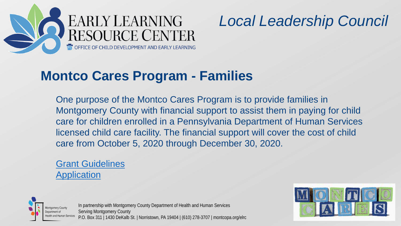

#### **Montco Cares Program - Families**

One purpose of the Montco Cares Program is to provide families in Montgomery County with financial support to assist them in paying for child care for children enrolled in a Pennsylvania Department of Human Services licensed child care facility. The financial support will cover the cost of child care from October 5, 2020 through December 30, 2020.

#### **[Grant Guidelines](https://www.montcopa.org/DocumentCenter/View/29137/Montco-CARES-Program--Family---Grant-Guidelines---10520) [Application](https://www.montcopa.org/DocumentCenter/View/29136/Montco-Cares-Program---Family-Grant---Application---10820?bidId=)**



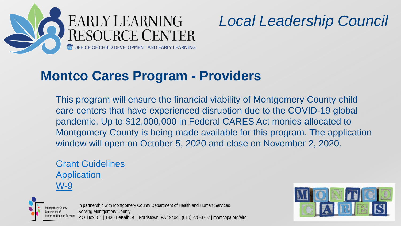

#### **Montco Cares Program - Providers**

This program will ensure the financial viability of Montgomery County child care centers that have experienced disruption due to the COVID-19 global pandemic. Up to \$12,000,000 in Federal CARES Act monies allocated to Montgomery County is being made available for this program. The application window will open on October 5, 2020 and close on November 2, 2020.

#### **[Grant Guidelines](https://www.montcopa.org/DocumentCenter/View/29135/Montco-Cares-Grant-Program---Provider---Grant-Guidelines---10520) [Application](https://forms.office.com/Pages/ResponsePage.aspx?id=7CS2qydqgUyVzrdefJatnCPCzUFdfaNNmPjIQLVTBnRUOTJJUEszMkdMVFhUWE1TQjg5U0ZIRlBJWC4u)** [W-9](https://www.montcopa.org/DocumentCenter/View/29144/Blank-W9)



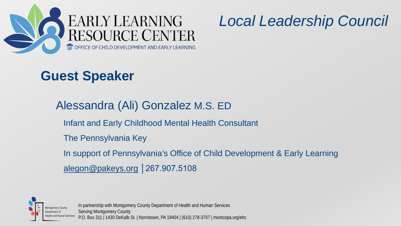

#### **Guest Speaker**

Alessandra (Ali) Gonzalez M.S. ED Infant and Early Childhood Mental Health Consultant The Pennsylvania Key In support of Pennsylvania's Office of Child Development & Early Learning

alegon@pakeys.org | 267.907.5108

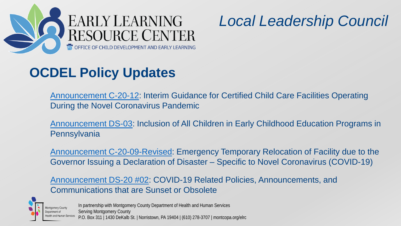

### **OCDEL Policy Updates**

[Announcement C-20-12:](https://myemail.constantcontact.com/Certification-News-You-Need-to-Know--Sept--29--2020.html?soid=1112117859299&aid=UnET7Q18vrs) Interim Guidance for Certified Child Care Facilities Operating During the Novel Coronavirus Pandemic

[Announcement DS-03](https://files.constantcontact.com/3e3d36fe201/98823739-926d-4c3a-b384-dc1ce2240468.pdf): Inclusion of All Children in Early Childhood Education Programs in **Pennsylvania** 

[Announcement C-20-09-Revised:](https://files.constantcontact.com/3e3d36fe201/1c6d36dc-f116-456d-ad6e-2dff562eefdf.pdf) Emergency Temporary Relocation of Facility due to the Governor Issuing a Declaration of Disaster – Specific to Novel Coronavirus (COVID-19)

[Announcement DS-20 #02](https://files.constantcontact.com/3e3d36fe201/31f2a176-87f7-401f-8a42-4fe2c83b9934.pdf): COVID-19 Related Policies, Announcements, and Communications that are Sunset or Obsolete

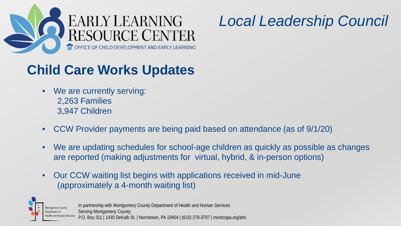

### **Child Care Works Updates**

- We are currently serving: 2,263 Families 3,947 Children
- CCW Provider payments are being paid based on attendance (as of 9/1/20)
- We are updating schedules for school-age children as quickly as possible as changes are reported (making adjustments for virtual, hybrid, & in-person options)
- Our CCW waiting list begins with applications received in mid-June (approximately a 4-month waiting list)

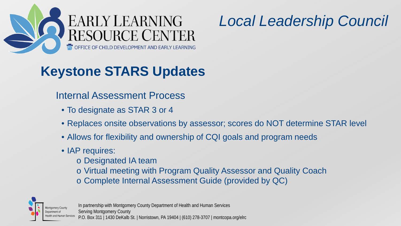

# **Keystone STARS Updates**

#### Internal Assessment Process

- To designate as STAR 3 or 4
- Replaces onsite observations by assessor; scores do NOT determine STAR level
- Allows for flexibility and ownership of CQI goals and program needs
- IAP requires:
	- o Designated IA team
	- o Virtual meeting with Program Quality Assessor and Quality Coach
	- o Complete Internal Assessment Guide (provided by QC)



In partnership with Montgomery County Department of Health and Human Services

Serving Montgomery County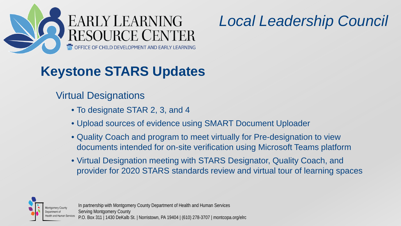

### **Keystone STARS Updates**

#### Virtual Designations

- To designate STAR 2, 3, and 4
- Upload sources of evidence using SMART Document Uploader
- Quality Coach and program to meet virtually for Pre-designation to view documents intended for on-site verification using Microsoft Teams platform
- Virtual Designation meeting with STARS Designator, Quality Coach, and provider for 2020 STARS standards review and virtual tour of learning spaces



In partnership with Montgomery County Department of Health and Human Services

Serving Montgomery County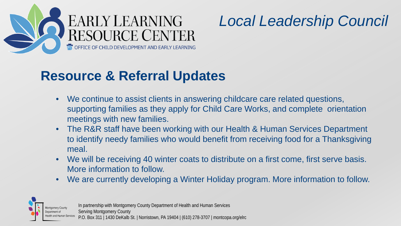

#### **Resource & Referral Updates**

- We continue to assist clients in answering childcare care related questions, supporting families as they apply for Child Care Works, and complete orientation meetings with new families.
- The R&R staff have been working with our Health & Human Services Department to identify needy families who would benefit from receiving food for a Thanksgiving meal.
- We will be receiving 40 winter coats to distribute on a first come, first serve basis. More information to follow.
- We are currently developing a Winter Holiday program. More information to follow.



In partnership with Montgomery County Department of Health and Human Services

Serving Montgomery County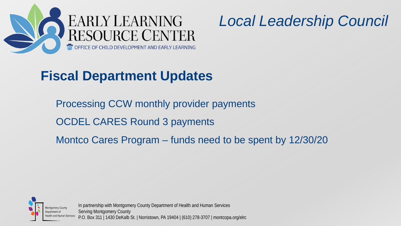



#### **Fiscal Department Updates**

Processing CCW monthly provider payments OCDEL CARES Round 3 payments Montco Cares Program – funds need to be spent by 12/30/20



In partnership with Montgomery County Department of Health and Human Services Serving Montgomery County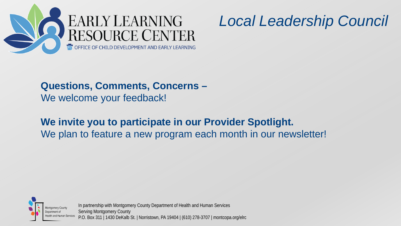

#### **Questions, Comments, Concerns –** We welcome your feedback!

#### **We invite you to participate in our Provider Spotlight.** We plan to feature a new program each month in our newsletter!



In partnership with Montgomery County Department of Health and Human Services Serving Montgomery County